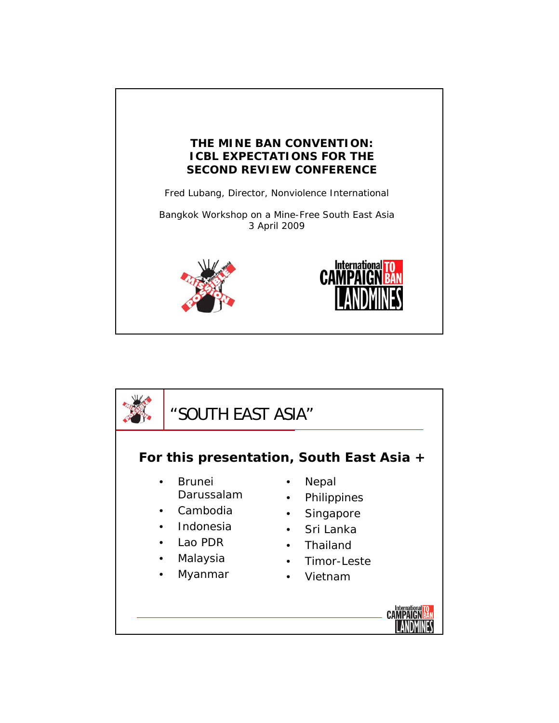

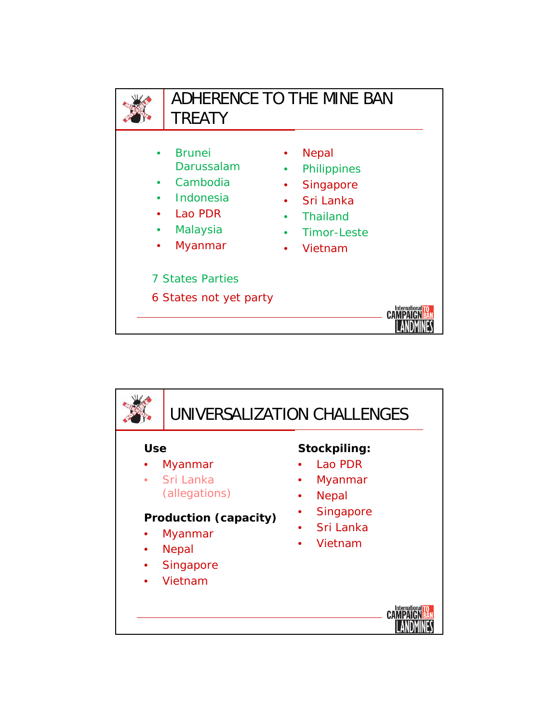

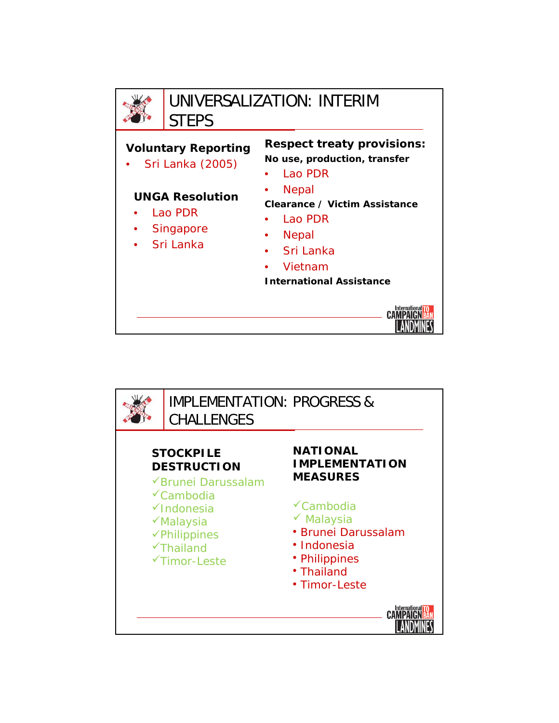